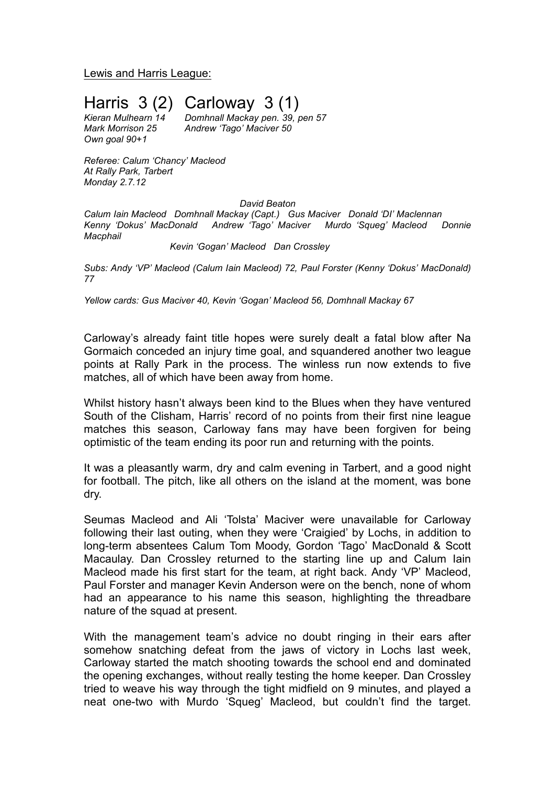Lewis and Harris League:

Harris  $3(2)$  Carloway  $3(1)$ <br>Kieran Mulhearn 14 Domhnall Mackay pen. 39, p

*Own goal 90+1*

*Kieran Mulhearn 14 Domhnall Mackay pen. 39, pen 57 Mark Morrison 25 Andrew 'Tago' Maciver 50*

*Referee: Calum 'Chancy' Macleod At Rally Park, Tarbert Monday 2.7.12*

*David Beaton*

*Calum Iain Macleod Domhnall Mackay (Capt.) Gus Maciver Donald 'DI' Maclennan Kenny 'Dokus' MacDonald Andrew 'Tago' Maciver Murdo 'Squeg' Macleod Donnie Macphail*

*Kevin 'Gogan' Macleod Dan Crossley*

*Subs: Andy 'VP' Macleod (Calum Iain Macleod) 72, Paul Forster (Kenny 'Dokus' MacDonald) 77*

*Yellow cards: Gus Maciver 40, Kevin 'Gogan' Macleod 56, Domhnall Mackay 67*

Carloway's already faint title hopes were surely dealt a fatal blow after Na Gormaich conceded an injury time goal, and squandered another two league points at Rally Park in the process. The winless run now extends to five matches, all of which have been away from home.

Whilst history hasn't always been kind to the Blues when they have ventured South of the Clisham, Harris' record of no points from their first nine league matches this season, Carloway fans may have been forgiven for being optimistic of the team ending its poor run and returning with the points.

It was a pleasantly warm, dry and calm evening in Tarbert, and a good night for football. The pitch, like all others on the island at the moment, was bone dry.

Seumas Macleod and Ali 'Tolsta' Maciver were unavailable for Carloway following their last outing, when they were 'Craigied' by Lochs, in addition to long-term absentees Calum Tom Moody, Gordon 'Tago' MacDonald & Scott Macaulay. Dan Crossley returned to the starting line up and Calum Iain Macleod made his first start for the team, at right back. Andy 'VP' Macleod, Paul Forster and manager Kevin Anderson were on the bench, none of whom had an appearance to his name this season, highlighting the threadbare nature of the squad at present.

With the management team's advice no doubt ringing in their ears after somehow snatching defeat from the jaws of victory in Lochs last week, Carloway started the match shooting towards the school end and dominated the opening exchanges, without really testing the home keeper. Dan Crossley tried to weave his way through the tight midfield on 9 minutes, and played a neat one-two with Murdo 'Squeg' Macleod, but couldn't find the target.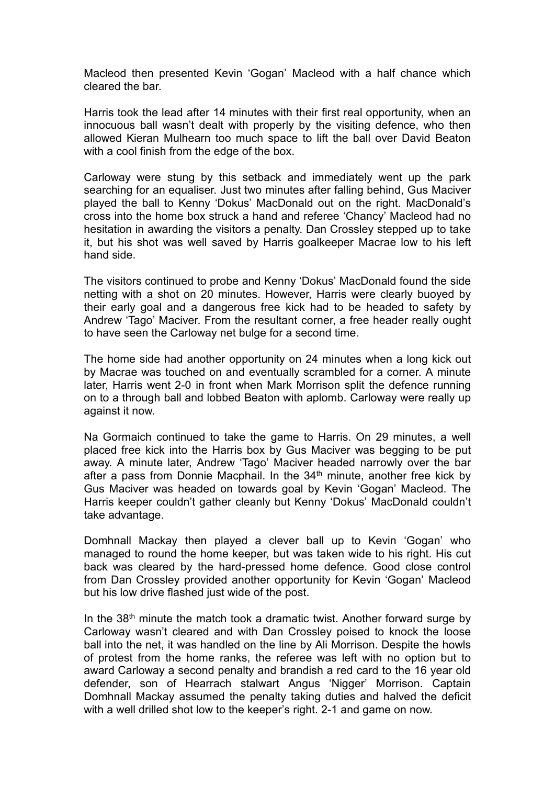Macleod then presented Kevin 'Gogan' Macleod with a half chance which cleared the bar.

Harris took the lead after 14 minutes with their first real opportunity, when an innocuous ball wasn't dealt with properly by the visiting defence, who then allowed Kieran Mulhearn too much space to lift the ball over David Beaton with a cool finish from the edge of the box.

Carloway were stung by this setback and immediately went up the park searching for an equaliser. Just two minutes after falling behind, Gus Maciver played the ball to Kenny 'Dokus' MacDonald out on the right. MacDonald's cross into the home box struck a hand and referee 'Chancy' Macleod had no hesitation in awarding the visitors a penalty. Dan Crossley stepped up to take it, but his shot was well saved by Harris goalkeeper Macrae low to his left hand side.

The visitors continued to probe and Kenny 'Dokus' MacDonald found the side netting with a shot on 20 minutes. However, Harris were clearly buoyed by their early goal and a dangerous free kick had to be headed to safety by Andrew 'Tago' Maciver. From the resultant corner, a free header really ought to have seen the Carloway net bulge for a second time.

The home side had another opportunity on 24 minutes when a long kick out by Macrae was touched on and eventually scrambled for a corner. A minute later, Harris went 2-0 in front when Mark Morrison split the defence running on to a through ball and lobbed Beaton with aplomb. Carloway were really up against it now.

Na Gormaich continued to take the game to Harris. On 29 minutes, a well placed free kick into the Harris box by Gus Maciver was begging to be put away. A minute later, Andrew 'Tago' Maciver headed narrowly over the bar after a pass from Donnie Macphail. In the  $34<sup>th</sup>$  minute, another free kick by Gus Maciver was headed on towards goal by Kevin 'Gogan' Macleod. The Harris keeper couldn't gather cleanly but Kenny 'Dokus' MacDonald couldn't take advantage.

Domhnall Mackay then played a clever ball up to Kevin 'Gogan' who managed to round the home keeper, but was taken wide to his right. His cut back was cleared by the hard-pressed home defence. Good close control from Dan Crossley provided another opportunity for Kevin 'Gogan' Macleod but his low drive flashed just wide of the post.

In the 38<sup>th</sup> minute the match took a dramatic twist. Another forward surge by Carloway wasn't cleared and with Dan Crossley poised to knock the loose ball into the net, it was handled on the line by Ali Morrison. Despite the howls of protest from the home ranks, the referee was left with no option but to award Carloway a second penalty and brandish a red card to the 16 year old defender, son of Hearrach stalwart Angus 'Nigger' Morrison. Captain Domhnall Mackay assumed the penalty taking duties and halved the deficit with a well drilled shot low to the keeper's right. 2-1 and game on now.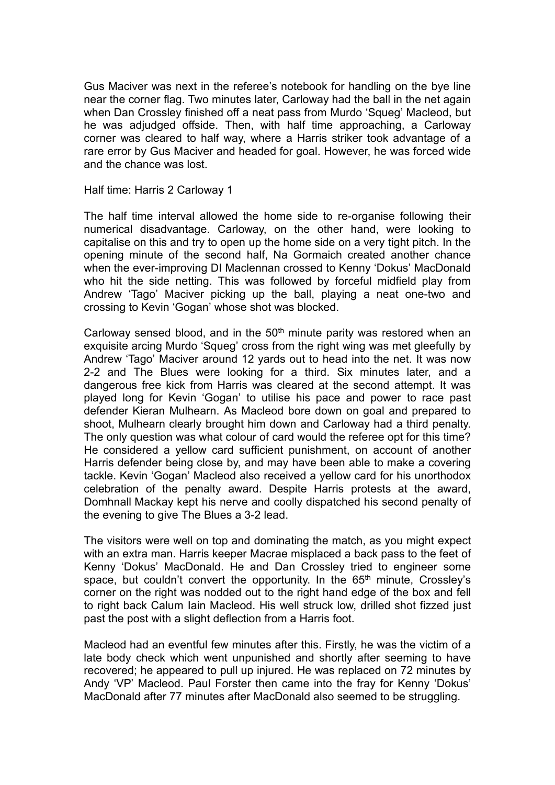Gus Maciver was next in the referee's notebook for handling on the bye line near the corner flag. Two minutes later, Carloway had the ball in the net again when Dan Crossley finished off a neat pass from Murdo 'Squeg' Macleod, but he was adjudged offside. Then, with half time approaching, a Carloway corner was cleared to half way, where a Harris striker took advantage of a rare error by Gus Maciver and headed for goal. However, he was forced wide and the chance was lost.

Half time: Harris 2 Carloway 1

The half time interval allowed the home side to re-organise following their numerical disadvantage. Carloway, on the other hand, were looking to capitalise on this and try to open up the home side on a very tight pitch. In the opening minute of the second half, Na Gormaich created another chance when the ever-improving DI Maclennan crossed to Kenny 'Dokus' MacDonald who hit the side netting. This was followed by forceful midfield play from Andrew 'Tago' Maciver picking up the ball, playing a neat one-two and crossing to Kevin 'Gogan' whose shot was blocked.

Carloway sensed blood, and in the  $50<sup>th</sup>$  minute parity was restored when an exquisite arcing Murdo 'Squeg' cross from the right wing was met gleefully by Andrew 'Tago' Maciver around 12 yards out to head into the net. It was now 2-2 and The Blues were looking for a third. Six minutes later, and a dangerous free kick from Harris was cleared at the second attempt. It was played long for Kevin 'Gogan' to utilise his pace and power to race past defender Kieran Mulhearn. As Macleod bore down on goal and prepared to shoot, Mulhearn clearly brought him down and Carloway had a third penalty. The only question was what colour of card would the referee opt for this time? He considered a yellow card sufficient punishment, on account of another Harris defender being close by, and may have been able to make a covering tackle. Kevin 'Gogan' Macleod also received a yellow card for his unorthodox celebration of the penalty award. Despite Harris protests at the award, Domhnall Mackay kept his nerve and coolly dispatched his second penalty of the evening to give The Blues a 3-2 lead.

The visitors were well on top and dominating the match, as you might expect with an extra man. Harris keeper Macrae misplaced a back pass to the feet of Kenny 'Dokus' MacDonald. He and Dan Crossley tried to engineer some space, but couldn't convert the opportunity. In the 65<sup>th</sup> minute, Crossley's corner on the right was nodded out to the right hand edge of the box and fell to right back Calum Iain Macleod. His well struck low, drilled shot fizzed just past the post with a slight deflection from a Harris foot.

Macleod had an eventful few minutes after this. Firstly, he was the victim of a late body check which went unpunished and shortly after seeming to have recovered; he appeared to pull up injured. He was replaced on 72 minutes by Andy 'VP' Macleod. Paul Forster then came into the fray for Kenny 'Dokus' MacDonald after 77 minutes after MacDonald also seemed to be struggling.